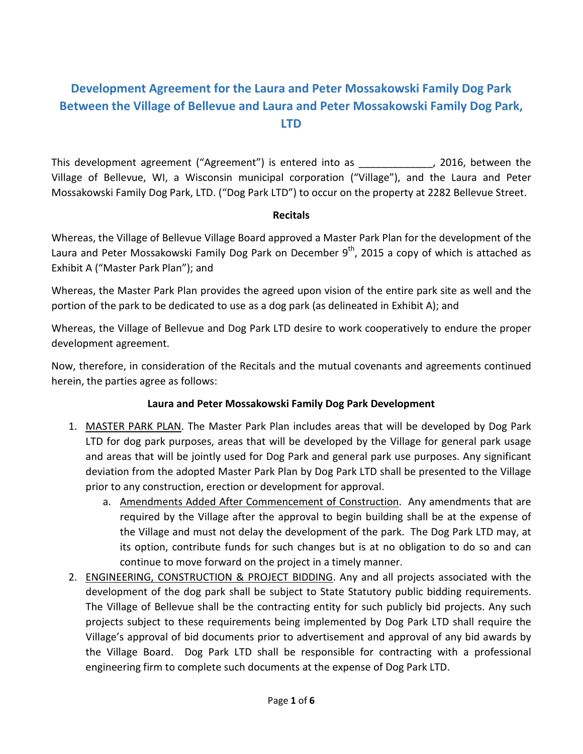# **Development Agreement for the Laura and Peter Mossakowski Family Dog Park Between the Village of Bellevue and Laura and Peter Mossakowski Family Dog Park, LTD**

This development agreement ("Agreement") is entered into as  $\hspace{1.5cm}$ , 2016, between the Village of Bellevue, WI, a Wisconsin municipal corporation ("Village"), and the Laura and Peter Mossakowski Family Dog Park, LTD. ("Dog Park LTD") to occur on the property at 2282 Bellevue Street.

#### **Recitals**

Whereas, the Village of Bellevue Village Board approved a Master Park Plan for the development of the Laura and Peter Mossakowski Family Dog Park on December  $9<sup>th</sup>$ , 2015 a copy of which is attached as Exhibit A ("Master Park Plan"); and

Whereas, the Master Park Plan provides the agreed upon vision of the entire park site as well and the portion of the park to be dedicated to use as a dog park (as delineated in Exhibit A); and

Whereas, the Village of Bellevue and Dog Park LTD desire to work cooperatively to endure the proper development agreement.

Now, therefore, in consideration of the Recitals and the mutual covenants and agreements continued herein, the parties agree as follows:

### **Laura and Peter Mossakowski Family Dog Park Development**

- 1. MASTER PARK PLAN. The Master Park Plan includes areas that will be developed by Dog Park LTD for dog park purposes, areas that will be developed by the Village for general park usage and areas that will be jointly used for Dog Park and general park use purposes. Any significant deviation from the adopted Master Park Plan by Dog Park LTD shall be presented to the Village prior to any construction, erection or development for approval.
	- a. Amendments Added After Commencement of Construction. Any amendments that are required by the Village after the approval to begin building shall be at the expense of the Village and must not delay the development of the park. The Dog Park LTD may, at its option, contribute funds for such changes but is at no obligation to do so and can continue to move forward on the project in a timely manner.
- 2. ENGINEERING, CONSTRUCTION & PROJECT BIDDING. Any and all projects associated with the development of the dog park shall be subject to State Statutory public bidding requirements. The Village of Bellevue shall be the contracting entity for such publicly bid projects. Any such projects subject to these requirements being implemented by Dog Park LTD shall require the Village's approval of bid documents prior to advertisement and approval of any bid awards by the Village Board. Dog Park LTD shall be responsible for contracting with a professional engineering firm to complete such documents at the expense of Dog Park LTD.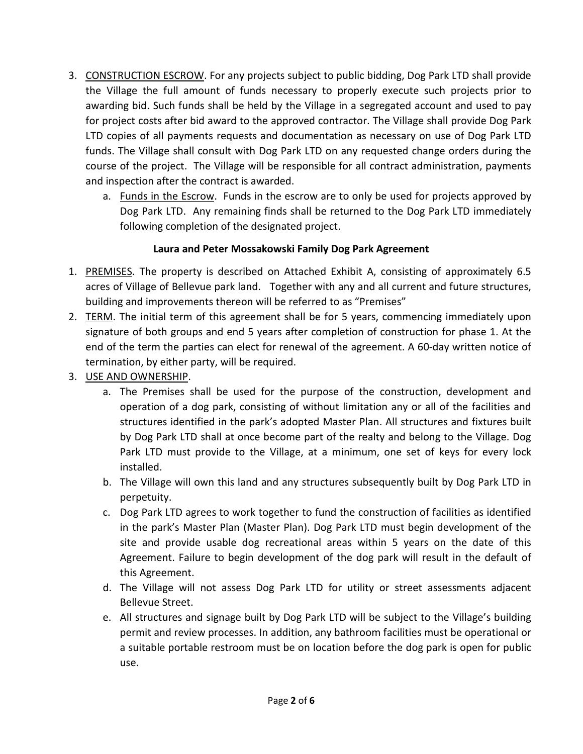- 3. CONSTRUCTION ESCROW. For any projects subject to public bidding, Dog Park LTD shall provide the Village the full amount of funds necessary to properly execute such projects prior to awarding bid. Such funds shall be held by the Village in a segregated account and used to pay for project costs after bid award to the approved contractor. The Village shall provide Dog Park LTD copies of all payments requests and documentation as necessary on use of Dog Park LTD funds. The Village shall consult with Dog Park LTD on any requested change orders during the course of the project. The Village will be responsible for all contract administration, payments and inspection after the contract is awarded.
	- a. Funds in the Escrow. Funds in the escrow are to only be used for projects approved by Dog Park LTD. Any remaining finds shall be returned to the Dog Park LTD immediately following completion of the designated project.

## **Laura and Peter Mossakowski Family Dog Park Agreement**

- 1. PREMISES. The property is described on Attached Exhibit A, consisting of approximately 6.5 acres of Village of Bellevue park land. Together with any and all current and future structures, building and improvements thereon will be referred to as "Premises"
- 2. TERM. The initial term of this agreement shall be for 5 years, commencing immediately upon signature of both groups and end 5 years after completion of construction for phase 1. At the end of the term the parties can elect for renewal of the agreement. A 60-day written notice of termination, by either party, will be required.
- 3. USE AND OWNERSHIP.
	- a. The Premises shall be used for the purpose of the construction, development and operation of a dog park, consisting of without limitation any or all of the facilities and structures identified in the park's adopted Master Plan. All structures and fixtures built by Dog Park LTD shall at once become part of the realty and belong to the Village. Dog Park LTD must provide to the Village, at a minimum, one set of keys for every lock installed.
	- b. The Village will own this land and any structures subsequently built by Dog Park LTD in perpetuity.
	- c. Dog Park LTD agrees to work together to fund the construction of facilities as identified in the park's Master Plan (Master Plan). Dog Park LTD must begin development of the site and provide usable dog recreational areas within 5 years on the date of this Agreement. Failure to begin development of the dog park will result in the default of this Agreement.
	- d. The Village will not assess Dog Park LTD for utility or street assessments adjacent Bellevue Street.
	- e. All structures and signage built by Dog Park LTD will be subject to the Village's building permit and review processes. In addition, any bathroom facilities must be operational or a suitable portable restroom must be on location before the dog park is open for public use.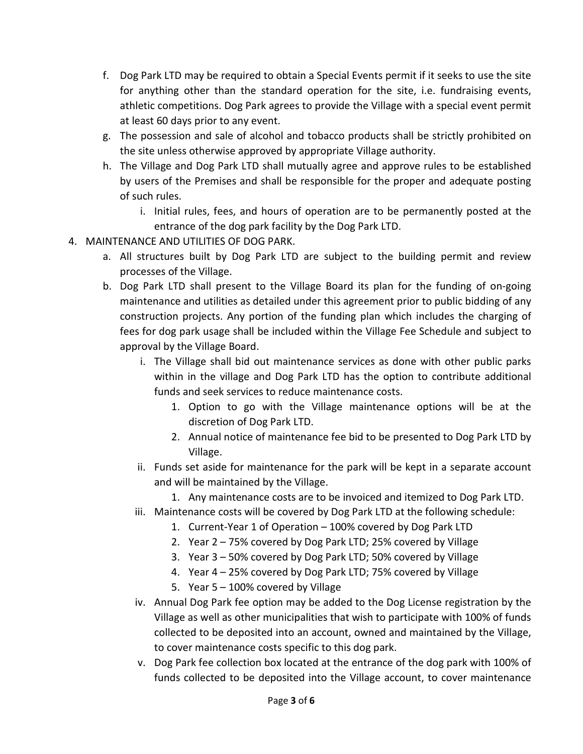- f. Dog Park LTD may be required to obtain a Special Events permit if it seeks to use the site for anything other than the standard operation for the site, i.e. fundraising events, athletic competitions. Dog Park agrees to provide the Village with a special event permit at least 60 days prior to any event.
- g. The possession and sale of alcohol and tobacco products shall be strictly prohibited on the site unless otherwise approved by appropriate Village authority.
- h. The Village and Dog Park LTD shall mutually agree and approve rules to be established by users of the Premises and shall be responsible for the proper and adequate posting of such rules.
	- i. Initial rules, fees, and hours of operation are to be permanently posted at the entrance of the dog park facility by the Dog Park LTD.
- 4. MAINTENANCE AND UTILITIES OF DOG PARK.
	- a. All structures built by Dog Park LTD are subject to the building permit and review processes of the Village.
	- b. Dog Park LTD shall present to the Village Board its plan for the funding of on-going maintenance and utilities as detailed under this agreement prior to public bidding of any construction projects. Any portion of the funding plan which includes the charging of fees for dog park usage shall be included within the Village Fee Schedule and subject to approval by the Village Board.
		- i. The Village shall bid out maintenance services as done with other public parks within in the village and Dog Park LTD has the option to contribute additional funds and seek services to reduce maintenance costs.
			- 1. Option to go with the Village maintenance options will be at the discretion of Dog Park LTD.
			- 2. Annual notice of maintenance fee bid to be presented to Dog Park LTD by Village.
		- ii. Funds set aside for maintenance for the park will be kept in a separate account and will be maintained by the Village.
			- 1. Any maintenance costs are to be invoiced and itemized to Dog Park LTD.
		- iii. Maintenance costs will be covered by Dog Park LTD at the following schedule:
			- 1. Current-Year 1 of Operation 100% covered by Dog Park LTD
			- 2. Year 2 75% covered by Dog Park LTD; 25% covered by Village
			- 3. Year 3 50% covered by Dog Park LTD; 50% covered by Village
			- 4. Year 4 25% covered by Dog Park LTD; 75% covered by Village
			- 5. Year 5 100% covered by Village
		- iv. Annual Dog Park fee option may be added to the Dog License registration by the Village as well as other municipalities that wish to participate with 100% of funds collected to be deposited into an account, owned and maintained by the Village, to cover maintenance costs specific to this dog park.
		- v. Dog Park fee collection box located at the entrance of the dog park with 100% of funds collected to be deposited into the Village account, to cover maintenance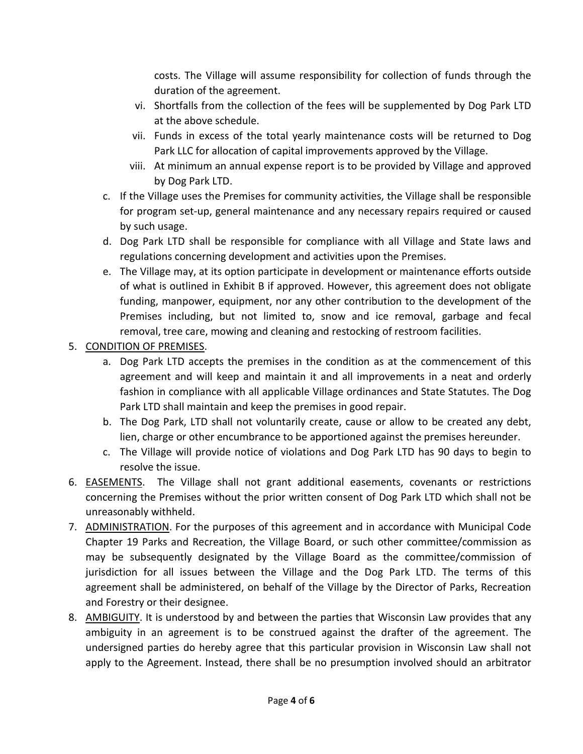costs. The Village will assume responsibility for collection of funds through the duration of the agreement.

- vi. Shortfalls from the collection of the fees will be supplemented by Dog Park LTD at the above schedule.
- vii. Funds in excess of the total yearly maintenance costs will be returned to Dog Park LLC for allocation of capital improvements approved by the Village.
- viii. At minimum an annual expense report is to be provided by Village and approved by Dog Park LTD.
- c. If the Village uses the Premises for community activities, the Village shall be responsible for program set-up, general maintenance and any necessary repairs required or caused by such usage.
- d. Dog Park LTD shall be responsible for compliance with all Village and State laws and regulations concerning development and activities upon the Premises.
- e. The Village may, at its option participate in development or maintenance efforts outside of what is outlined in Exhibit B if approved. However, this agreement does not obligate funding, manpower, equipment, nor any other contribution to the development of the Premises including, but not limited to, snow and ice removal, garbage and fecal removal, tree care, mowing and cleaning and restocking of restroom facilities.
- 5. CONDITION OF PREMISES.
	- a. Dog Park LTD accepts the premises in the condition as at the commencement of this agreement and will keep and maintain it and all improvements in a neat and orderly fashion in compliance with all applicable Village ordinances and State Statutes. The Dog Park LTD shall maintain and keep the premises in good repair.
	- b. The Dog Park, LTD shall not voluntarily create, cause or allow to be created any debt, lien, charge or other encumbrance to be apportioned against the premises hereunder.
	- c. The Village will provide notice of violations and Dog Park LTD has 90 days to begin to resolve the issue.
- 6. EASEMENTS. The Village shall not grant additional easements, covenants or restrictions concerning the Premises without the prior written consent of Dog Park LTD which shall not be unreasonably withheld.
- 7. ADMINISTRATION. For the purposes of this agreement and in accordance with Municipal Code Chapter 19 Parks and Recreation, the Village Board, or such other committee/commission as may be subsequently designated by the Village Board as the committee/commission of jurisdiction for all issues between the Village and the Dog Park LTD. The terms of this agreement shall be administered, on behalf of the Village by the Director of Parks, Recreation and Forestry or their designee.
- 8. AMBIGUITY. It is understood by and between the parties that Wisconsin Law provides that any ambiguity in an agreement is to be construed against the drafter of the agreement. The undersigned parties do hereby agree that this particular provision in Wisconsin Law shall not apply to the Agreement. Instead, there shall be no presumption involved should an arbitrator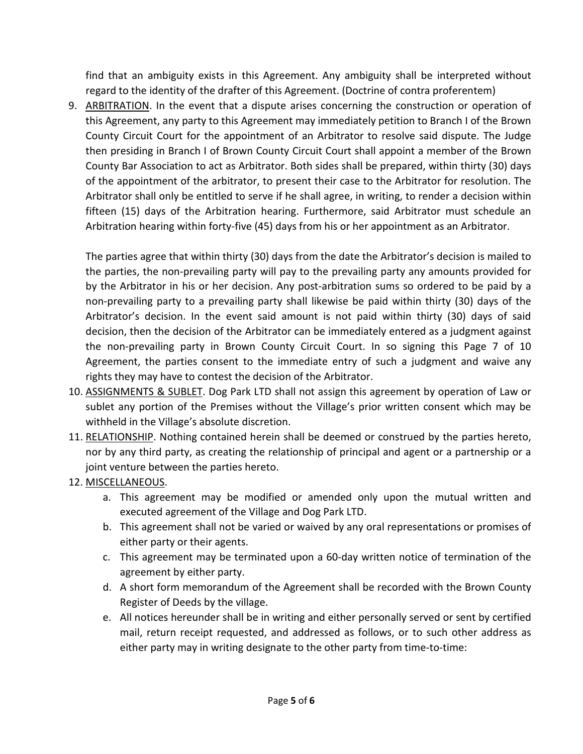find that an ambiguity exists in this Agreement. Any ambiguity shall be interpreted without regard to the identity of the drafter of this Agreement. (Doctrine of contra proferentem)

9. ARBITRATION. In the event that a dispute arises concerning the construction or operation of this Agreement, any party to this Agreement may immediately petition to Branch I of the Brown County Circuit Court for the appointment of an Arbitrator to resolve said dispute. The Judge then presiding in Branch I of Brown County Circuit Court shall appoint a member of the Brown County Bar Association to act as Arbitrator. Both sides shall be prepared, within thirty (30) days of the appointment of the arbitrator, to present their case to the Arbitrator for resolution. The Arbitrator shall only be entitled to serve if he shall agree, in writing, to render a decision within fifteen (15) days of the Arbitration hearing. Furthermore, said Arbitrator must schedule an Arbitration hearing within forty-five (45) days from his or her appointment as an Arbitrator.

The parties agree that within thirty (30) days from the date the Arbitrator's decision is mailed to the parties, the non-prevailing party will pay to the prevailing party any amounts provided for by the Arbitrator in his or her decision. Any post-arbitration sums so ordered to be paid by a non-prevailing party to a prevailing party shall likewise be paid within thirty (30) days of the Arbitrator's decision. In the event said amount is not paid within thirty (30) days of said decision, then the decision of the Arbitrator can be immediately entered as a judgment against the non-prevailing party in Brown County Circuit Court. In so signing this Page 7 of 10 Agreement, the parties consent to the immediate entry of such a judgment and waive any rights they may have to contest the decision of the Arbitrator.

- 10. ASSIGNMENTS & SUBLET. Dog Park LTD shall not assign this agreement by operation of Law or sublet any portion of the Premises without the Village's prior written consent which may be withheld in the Village's absolute discretion.
- 11. RELATIONSHIP. Nothing contained herein shall be deemed or construed by the parties hereto, nor by any third party, as creating the relationship of principal and agent or a partnership or a joint venture between the parties hereto.
- 12. MISCELLANEOUS.
	- a. This agreement may be modified or amended only upon the mutual written and executed agreement of the Village and Dog Park LTD.
	- b. This agreement shall not be varied or waived by any oral representations or promises of either party or their agents.
	- c. This agreement may be terminated upon a 60-day written notice of termination of the agreement by either party.
	- d. A short form memorandum of the Agreement shall be recorded with the Brown County Register of Deeds by the village.
	- e. All notices hereunder shall be in writing and either personally served or sent by certified mail, return receipt requested, and addressed as follows, or to such other address as either party may in writing designate to the other party from time-to-time: